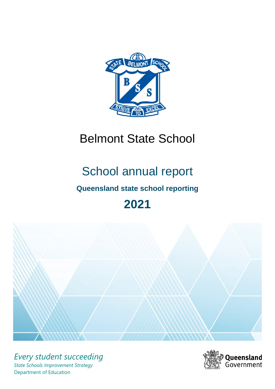

# Belmont State School

# School annual report

# **Queensland state school reporting**

# **2021**



*Every student succeeding State Schools Improvement Strategy* Department of Education

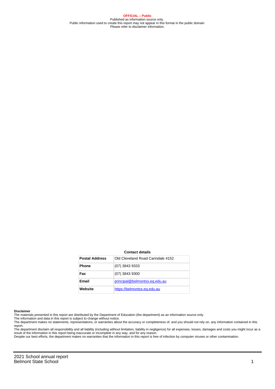**OFFICIAL – Public** Published as information source only. Public information used to create this report may not appear in this format in the public domain Please refer to disclaimer information.

#### **Contact details**

| <b>Postal Address</b> | Old Cleveland Road Carindale 4152 |
|-----------------------|-----------------------------------|
| <b>Phone</b>          | (07) 3843 9333                    |
| Fax                   | (07) 3843 9300                    |
| Email                 | principal@belmontss.eq.edu.au     |
| Website               | https://belmontss.eq.edu.au       |

#### **Disclaimer**

The materials presented in this report are distributed by the Department of Education (the department) as an information source only.

The information and data in this report is subject to change without notice.<br>The department makes no statements, representations, or warranties about the accuracy or completeness of, and you should not rely on, any informa report.

The department disclaim all responsibility and all liability (including without limitation, liability in negligence) for all expenses, losses, damages and costs you might incur as a result of the information in this report being inaccurate or incomplete in any way, and for any reason.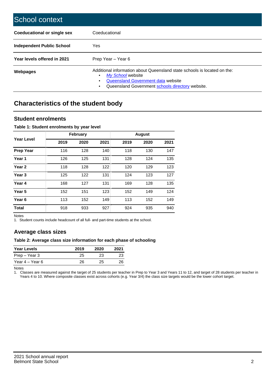| School context                   |                                                                                                                                                                                              |
|----------------------------------|----------------------------------------------------------------------------------------------------------------------------------------------------------------------------------------------|
| Coeducational or single sex      | Coeducational                                                                                                                                                                                |
| <b>Independent Public School</b> | Yes                                                                                                                                                                                          |
| Year levels offered in 2021      | Prep Year - Year 6                                                                                                                                                                           |
| Webpages                         | Additional information about Queensland state schools is located on the:<br>My School website<br>Queensland Government data website<br>Queensland Government schools directory website.<br>٠ |

# **Characteristics of the student body**

### **Student enrolments**

#### **Table 1: Student enrolments by year level**

|                   |      | <b>February</b> |      |      | <b>August</b> |      |
|-------------------|------|-----------------|------|------|---------------|------|
| Year Level        | 2019 | 2020            | 2021 | 2019 | 2020          | 2021 |
| <b>Prep Year</b>  | 116  | 128             | 140  | 118  | 130           | 147  |
| Year 1            | 126  | 125             | 131  | 128  | 124           | 135  |
| Year 2            | 118  | 128             | 122  | 120  | 129           | 123  |
| Year <sub>3</sub> | 125  | 122             | 131  | 124  | 123           | 127  |
| Year 4            | 168  | 127             | 131  | 169  | 128           | 135  |
| Year 5            | 152  | 151             | 123  | 152  | 149           | 124  |
| Year <sub>6</sub> | 113  | 152             | 149  | 113  | 152           | 149  |
| <b>Total</b>      | 918  | 933             | 927  | 924  | 935           | 940  |

Notes

1. Student counts include headcount of all full- and part-time students at the school.

## **Average class sizes**

#### **Table 2: Average class size information for each phase of schooling**

| <b>Year Levels</b> | 2019 | 2020 | 2021 |
|--------------------|------|------|------|
| Prep – Year 3      | 25   | 23   | 23   |
| Year 4 – Year 6    | 26   | 25.  | 26   |

Notes

1. Classes are measured against the target of 25 students per teacher in Prep to Year 3 and Years 11 to 12, and target of 28 students per teacher in Years 4 to 10. Where composite classes exist across cohorts (e.g. Year 3/4) the class size targets would be the lower cohort target.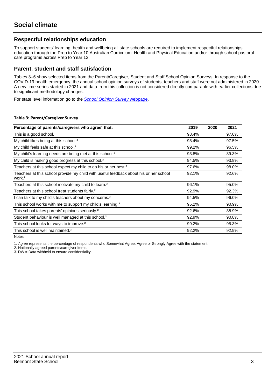## **Respectful relationships education**

To support students' learning, health and wellbeing all state schools are required to implement respectful relationships education through the Prep to Year 10 Australian Curriculum: Health and Physical Education and/or through school pastoral care programs across Prep to Year 12.

### **Parent, student and staff satisfaction**

Tables 3–5 show selected items from the Parent/Caregiver, Student and Staff School Opinion Surveys. In response to the COVID-19 health emergency, the annual school opinion surveys of students, teachers and staff were not administered in 2020. A new time series started in 2021 and data from this collection is not considered directly comparable with earlier collections due to significant methodology changes.

For state level information go to the **[School Opinion Survey](https://qed.qld.gov.au/publications/reports/statistics/schooling/schools/schoolopinionsurvey) webpage**.

#### **Table 3: Parent/Caregiver Survey**

| Percentage of parents/caregivers who agree <sup>1</sup> that:                                               | 2019  | 2020 | 2021  |
|-------------------------------------------------------------------------------------------------------------|-------|------|-------|
| This is a good school.                                                                                      | 98.4% |      | 97.0% |
| My child likes being at this school. <sup>2</sup>                                                           | 98.4% |      | 97.5% |
| My child feels safe at this school. <sup>2</sup>                                                            | 99.2% |      | 96.5% |
| My child's learning needs are being met at this school. <sup>2</sup>                                        | 93.8% |      | 89.3% |
| My child is making good progress at this school. <sup>2</sup>                                               | 94.5% |      | 93.9% |
| Teachers at this school expect my child to do his or her best. <sup>2</sup>                                 | 97.6% |      | 98.0% |
| Teachers at this school provide my child with useful feedback about his or her school<br>work. <sup>2</sup> | 92.1% |      | 92.6% |
| Teachers at this school motivate my child to learn. <sup>2</sup>                                            | 96.1% |      | 95.0% |
| Teachers at this school treat students fairly. <sup>2</sup>                                                 | 92.9% |      | 92.3% |
| can talk to my child's teachers about my concerns. <sup>2</sup>                                             | 94.5% |      | 96.0% |
| This school works with me to support my child's learning. <sup>2</sup>                                      | 95.2% |      | 90.9% |
| This school takes parents' opinions seriously. <sup>2</sup>                                                 | 92.6% |      | 88.9% |
| Student behaviour is well managed at this school. <sup>2</sup>                                              | 92.9% |      | 90.8% |
| This school looks for ways to improve. <sup>2</sup>                                                         | 99.2% |      | 95.3% |
| This school is well maintained. <sup>2</sup>                                                                | 92.2% |      | 92.9% |

Notes

1. Agree represents the percentage of respondents who Somewhat Agree, Agree or Strongly Agree with the statement.

2. Nationally agreed parents/caregiver items.

3. DW = Data withheld to ensure confidentiality.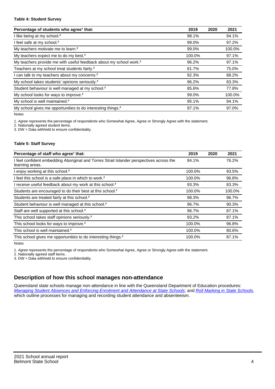#### **Table 4: Student Survey**

| Percentage of students who agree <sup>1</sup> that:                            | 2019   | 2020 | 2021   |
|--------------------------------------------------------------------------------|--------|------|--------|
| I like being at my school. <sup>2</sup>                                        | 98.1%  |      | 94.1%  |
| I feel safe at my school. <sup>2</sup>                                         | 99.0%  |      | 97.2%  |
| My teachers motivate me to learn. <sup>2</sup>                                 | 99.0%  |      | 100.0% |
| My teachers expect me to do my best. <sup>2</sup>                              | 100.0% |      | 97.1%  |
| My teachers provide me with useful feedback about my school work. <sup>2</sup> | 96.2%  |      | 97.1%  |
| Teachers at my school treat students fairly. <sup>2</sup>                      | 81.7%  |      | 75.0%  |
| I can talk to my teachers about my concerns. <sup>2</sup>                      | 92.3%  |      | 88.2%  |
| My school takes students' opinions seriously. <sup>2</sup>                     | 96.2%  |      | 83.3%  |
| Student behaviour is well managed at my school. <sup>2</sup>                   | 85.6%  |      | 77.8%  |
| My school looks for ways to improve. <sup>2</sup>                              | 99.0%  |      | 100.0% |
| My school is well maintained. <sup>2</sup>                                     | 95.1%  |      | 94.1%  |
| My school gives me opportunities to do interesting things. <sup>2</sup>        | 97.1%  |      | 97.0%  |

Notes

1. Agree represents the percentage of respondents who Somewhat Agree, Agree or Strongly Agree with the statement.

2. Nationally agreed student items.

3. DW = Data withheld to ensure confidentiality.

#### **Table 5: Staff Survey**

| Percentage of staff who agree <sup>1</sup> that:                                                            | 2019   | 2020 | 2021   |
|-------------------------------------------------------------------------------------------------------------|--------|------|--------|
| I feel confident embedding Aboriginal and Torres Strait Islander perspectives across the<br>learning areas. | 84.1%  |      | 76.2%  |
| I enjoy working at this school. <sup>2</sup>                                                                | 100.0% |      | 93.5%  |
| I feel this school is a safe place in which to work. <sup>2</sup>                                           | 100.0% |      | 96.8%  |
| I receive useful feedback about my work at this school. <sup>2</sup>                                        | 93.3%  |      | 83.3%  |
| Students are encouraged to do their best at this school. <sup>2</sup>                                       | 100.0% |      | 100.0% |
| Students are treated fairly at this school. <sup>2</sup>                                                    | 98.3%  |      | 96.7%  |
| Student behaviour is well managed at this school. <sup>2</sup>                                              | 96.7%  |      | 90.3%  |
| Staff are well supported at this school. <sup>2</sup>                                                       | 96.7%  |      | 87.1%  |
| This school takes staff opinions seriously. <sup>2</sup>                                                    | 93.2%  |      | 87.1%  |
| This school looks for ways to improve. <sup>2</sup>                                                         | 100.0% |      | 96.8%  |
| This school is well maintained. <sup>2</sup>                                                                | 100.0% |      | 80.6%  |
| This school gives me opportunities to do interesting things. <sup>2</sup>                                   | 100.0% |      | 87.1%  |

Notes

1. Agree represents the percentage of respondents who Somewhat Agree, Agree or Strongly Agree with the statement.

2. Nationally agreed staff items.

3. DW = Data withheld to ensure confidentiality.

## **Description of how this school manages non-attendance**

Queensland state schools manage non-attendance in line with the Queensland Department of Education procedures: [Managing Student Absences and Enforcing Enrolment and Attendance at State Schools](https://ppr.qed.qld.gov.au/pp/managing-student-absences-and-enforcing-enrolment-and-attendance-at-state-schools-procedure); and [Roll Marking in State Schools,](https://ppr.qed.qld.gov.au/pp/roll-marking-in-state-schools-procedure) which outline processes for managing and recording student attendance and absenteeism.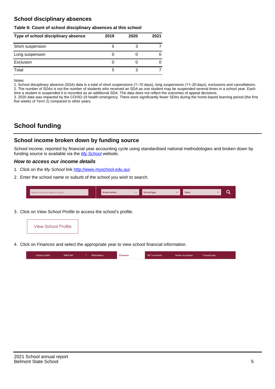## **School disciplinary absences**

#### **Table 6: Count of school disciplinary absences at this school**

| Type of school disciplinary absence | 2019 | 2020 | 2021 |
|-------------------------------------|------|------|------|
| Short suspension                    | 5    |      |      |
| Long suspension                     |      |      |      |
| Exclusion                           |      |      |      |
| Total                               | 5    |      |      |

Notes

1. School disciplinary absence (SDA) data is a total of short suspensions (1–10 days), long suspensions (11–20 days), exclusions and cancellations. 2. The number of SDAs is not the number of students who received an SDA as one student may be suspended several times in a school year. Each time a student is suspended it is recorded as an additional SDA. The data does not reflect the outcomes of appeal decisions.

3. 2020 data was impacted by the COVID-19 health emergency. There were significantly fewer SDAs during the home-based learning period (the first five weeks of Term 2) compared to other years.

# **School funding**

## **School income broken down by funding source**

School income, reported by financial year accounting cycle using standardised national methodologies and broken down by funding source is available via the  $My$  School website.

#### **How to access our income details**

- 1. Click on the My School link <http://www.myschool.edu.au/>.
- 2. Enter the school name or suburb of the school you wish to search.

|  | Search by school name or suburb |  | <b>School sector</b> |  | $\sim$ and $\sim$ represents the set of $\sim$ | <b>State</b> |  |  |  |
|--|---------------------------------|--|----------------------|--|------------------------------------------------|--------------|--|--|--|
|--|---------------------------------|--|----------------------|--|------------------------------------------------|--------------|--|--|--|

3. Click on View School Profile to access the school's profile.



4. Click on Finances and select the appropriate year to view school financial information.

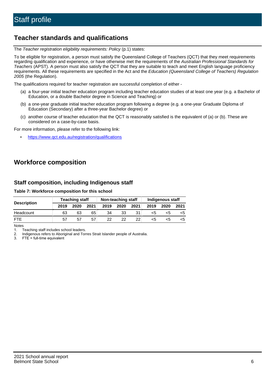# **Teacher standards and qualifications**

The Teacher registration eligibility requirements: Policy (p.1) states:

To be eligible for registration, a person must satisfy the Queensland College of Teachers (QCT) that they meet requirements regarding qualification and experience, or have otherwise met the requirements of the Australian Professional Standards for Teachers (APST). A person must also satisfy the QCT that they are suitable to teach and meet English language proficiency requirements. All these requirements are specified in the Act and the Education (Queensland College of Teachers) Regulation 2005 (the Regulation).

The qualifications required for teacher registration are successful completion of either -

- (a) a four-year initial teacher education program including teacher education studies of at least one year (e.g. a Bachelor of Education, or a double Bachelor degree in Science and Teaching) or
- (b) a one-year graduate initial teacher education program following a degree (e.g. a one-year Graduate Diploma of Education (Secondary) after a three-year Bachelor degree) or
- (c) another course of teacher education that the QCT is reasonably satisfied is the equivalent of (a) or (b). These are considered on a case-by-case basis.

For more information, please refer to the following link:

• <https://www.qct.edu.au/registration/qualifications>

# **Workforce composition**

## **Staff composition, including Indigenous staff**

#### **Table 7: Workforce composition for this school**

|                    |      | <b>Teaching staff</b><br>Non-teaching staff |      |      | Indigenous staff |                 |      |      |      |
|--------------------|------|---------------------------------------------|------|------|------------------|-----------------|------|------|------|
| <b>Description</b> | 2019 | 2020                                        | 2021 | 2019 | 2020             | 2021            | 2019 | 2020 | 2021 |
| Headcount          | 63   | 63                                          | 65   | 34   | 33               |                 | <5   | <5   |      |
| <b>FTF</b>         | 57   | 57                                          | 57   | 22.  | 22.              | 22 <sub>1</sub> | <5   | ה>   |      |

Notes

1. Teaching staff includes school leaders.

2. Indigenous refers to Aboriginal and Torres Strait Islander people of Australia.

3. FTE = full-time equivalent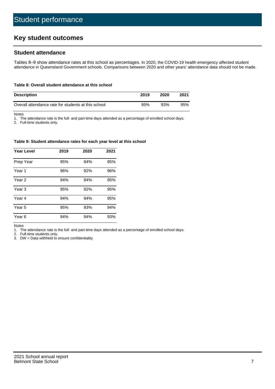# **Key student outcomes**

## **Student attendance**

Tables 8–9 show attendance rates at this school as percentages. In 2020, the COVID-19 health emergency affected student attendance in Queensland Government schools. Comparisons between 2020 and other years' attendance data should not be made.

#### **Table 8: Overall student attendance at this school**

| <b>Description</b>                                  | 2019 | 2020 | 2021 |
|-----------------------------------------------------|------|------|------|
| Overall attendance rate for students at this school | 95%  | 93%  | 95%  |

Notes

1. The attendance rate is the full- and part-time days attended as a percentage of enrolled school days.

2. Full-time students only.

#### **Table 9: Student attendance rates for each year level at this school**

| <b>Year Level</b> | 2019 | 2020 | 2021 |
|-------------------|------|------|------|
| Prep Year         | 95%  | 94%  | 95%  |
| Year <sub>1</sub> | 96%  | 92%  | 96%  |
| Year 2            | 94%  | 94%  | 95%  |
| Year <sub>3</sub> | 95%  | 92%  | 95%  |
| Year 4            | 94%  | 94%  | 95%  |
| Year 5            | 95%  | 93%  | 94%  |
| Year <sub>6</sub> | 94%  | 94%  | 93%  |

Notes

1. The attendance rate is the full- and part-time days attended as a percentage of enrolled school days.

2. Full-time students only.

3. DW = Data withheld to ensure confidentiality